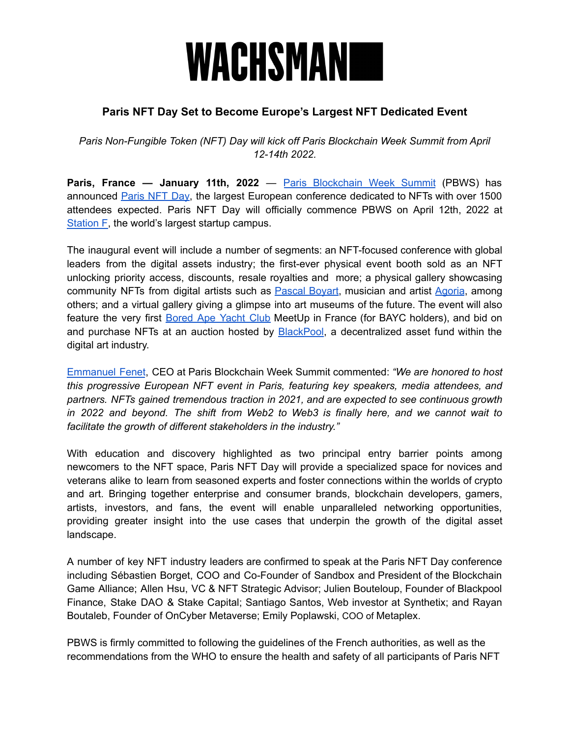## WACHSMANI

### **Paris NFT Day Set to Become Europe's Largest NFT Dedicated Event**

*Paris Non-Fungible Token (NFT) Day will kick off Paris Blockchain Week Summit from April 12-14th 2022.*

**Paris, France — January 11th, 2022** — Paris [Blockchain](https://www.pbwsummit.com/) Week Summit (PBWS) has announced [Paris](https://www.nftday.paris/) NFT Day, the largest European conference dedicated to NFTs with over 1500 attendees expected. Paris NFT Day will officially commence PBWS on April 12th, 2022 at [Station](https://stationf.co/) F, the world's largest startup campus.

The inaugural event will include a number of segments: an NFT-focused conference with global leaders from the digital assets industry; the first-ever physical event booth sold as an NFT unlocking priority access, discounts, resale royalties and more; a physical gallery showcasing community NFTs from digital artists such as **[Pascal](https://twitter.com/pascalboyart) Boyart**, musician and artist [Agoria](https://twitter.com/agoriamusic?ref_src=twsrc%5Egoogle%7Ctwcamp%5Eserp%7Ctwgr%5Eauthor), among others; and a virtual gallery giving a glimpse into art museums of the future. The event will also feature the very first [Bored](https://boredapeyachtclub.com/) Ape Yacht Club MeetUp in France (for BAYC holders), and bid on and purchase NFTs at an auction hosted by **BlackPool**, a decentralized asset fund within the digital art industry.

[Emmanuel](https://fr.linkedin.com/in/emmanuelfenet) Fenet, CEO at Paris Blockchain Week Summit commented: *"We are honored to host this progressive European NFT event in Paris, featuring key speakers, media attendees, and partners. NFTs gained tremendous traction in 2021, and are expected to see continuous growth in 2022 and beyond. The shift from Web2 to Web3 is finally here, and we cannot wait to facilitate the growth of different stakeholders in the industry."*

With education and discovery highlighted as two principal entry barrier points among newcomers to the NFT space, Paris NFT Day will provide a specialized space for novices and veterans alike to learn from seasoned experts and foster connections within the worlds of crypto and art. Bringing together enterprise and consumer brands, blockchain developers, gamers, artists, investors, and fans, the event will enable unparalleled networking opportunities, providing greater insight into the use cases that underpin the growth of the digital asset landscape.

A number of key NFT industry leaders are confirmed to speak at the Paris NFT Day conference including Sébastien Borget, COO and Co-Founder of Sandbox and President of the Blockchain Game Alliance; Allen Hsu, VC & NFT Strategic Advisor; Julien Bouteloup, Founder of Blackpool Finance, Stake DAO & Stake Capital; Santiago Santos, Web investor at Synthetix; and Rayan Boutaleb, Founder of OnCyber Metaverse; Emily Poplawski, COO of Metaplex.

PBWS is firmly committed to following the guidelines of the French authorities, as well as the recommendations from the WHO to ensure the health and safety of all participants of Paris NFT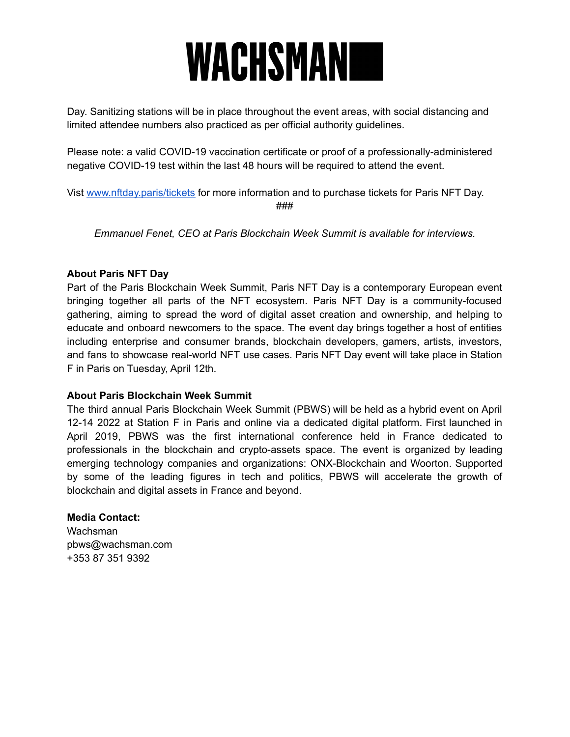# **WACHSMAN**

Day. Sanitizing stations will be in place throughout the event areas, with social distancing and limited attendee numbers also practiced as per official authority guidelines.

Please note: a valid COVID-19 vaccination certificate or proof of a professionally-administered negative COVID-19 test within the last 48 hours will be required to attend the event.

Vist [www.nftday.paris/tickets](https://www.nftday.paris/tickets) for more information and to purchase tickets for Paris NFT Day. ###

*Emmanuel Fenet, CEO at Paris Blockchain Week Summit is available for interviews.*

#### **About Paris NFT Day**

Part of the Paris Blockchain Week Summit, Paris NFT Day is a contemporary European event bringing together all parts of the NFT ecosystem. Paris NFT Day is a community-focused gathering, aiming to spread the word of digital asset creation and ownership, and helping to educate and onboard newcomers to the space. The event day brings together a host of entities including enterprise and consumer brands, blockchain developers, gamers, artists, investors, and fans to showcase real-world NFT use cases. Paris NFT Day event will take place in Station F in Paris on Tuesday, April 12th.

#### **About Paris Blockchain Week Summit**

The third annual Paris Blockchain Week Summit (PBWS) will be held as a hybrid event on April 12-14 2022 at Station F in Paris and online via a dedicated digital platform. First launched in April 2019, PBWS was the first international conference held in France dedicated to professionals in the blockchain and crypto-assets space. The event is organized by leading emerging technology companies and organizations: ONX-Blockchain and Woorton. Supported by some of the leading figures in tech and politics, PBWS will accelerate the growth of blockchain and digital assets in France and beyond.

#### **Media Contact:**

Wachsman pbws@wachsman.com +353 87 351 9392